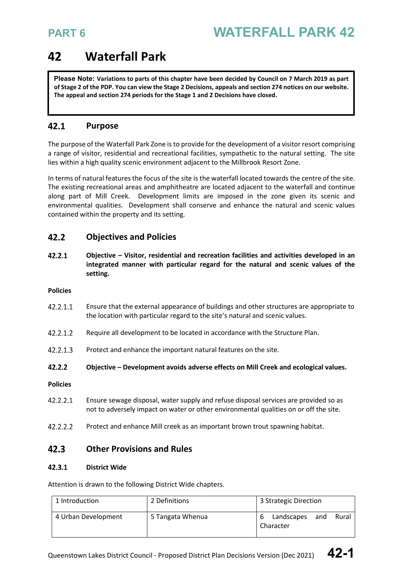## **42 Waterfall Park**

**Please Note: Variations to parts of this chapter have been decided by Council on 7 March 2019 as part of Stage 2 of the PDP. You can view the Stage 2 Decisions, appeals and section 274 notices on our website. The appeal and section 274 periods for the Stage 1 and 2 Decisions have closed.**

### $42.1$ **Purpose**

The purpose of the Waterfall Park Zone is to provide for the development of a visitor resort comprising a range of visitor, residential and recreational facilities, sympathetic to the natural setting. The site lies within a high quality scenic environment adjacent to the Millbrook Resort Zone.

In terms of natural features the focus of the site is the waterfall located towards the centre of the site. The existing recreational areas and amphitheatre are located adjacent to the waterfall and continue along part of Mill Creek. Development limits are imposed in the zone given its scenic and environmental qualities. Development shall conserve and enhance the natural and scenic values contained within the property and its setting.

### $42.2$ **Objectives and Policies**

42.2.1 **Objective – Visitor, residential and recreation facilities and activities developed in an integrated manner with particular regard for the natural and scenic values of the setting.** 

### **Policies**

- 42.2.1.1 Ensure that the external appearance of buildings and other structures are appropriate to the location with particular regard to the site's natural and scenic values.
- 42.2.1.2 Require all development to be located in accordance with the Structure Plan.
- 42.2.1.3 Protect and enhance the important natural features on the site.
- $42.2.2$ **Objective – Development avoids adverse effects on Mill Creek and ecological values.**
- **Policies**
- 42.2.2.1 Ensure sewage disposal, water supply and refuse disposal services are provided so as not to adversely impact on water or other environmental qualities on or off the site.
- $42.2.2.2$ Protect and enhance Mill creek as an important brown trout spawning habitat.

### $42.3$ **Other Provisions and Rules**

### $42.3.1$ **District Wide**

Attention is drawn to the following District Wide chapters.

| 1 Introduction      | 2 Definitions    | 3 Strategic Direction                   |  |
|---------------------|------------------|-----------------------------------------|--|
| 4 Urban Development | 5 Tangata Whenua | Landscapes<br>Rural<br>and<br>Character |  |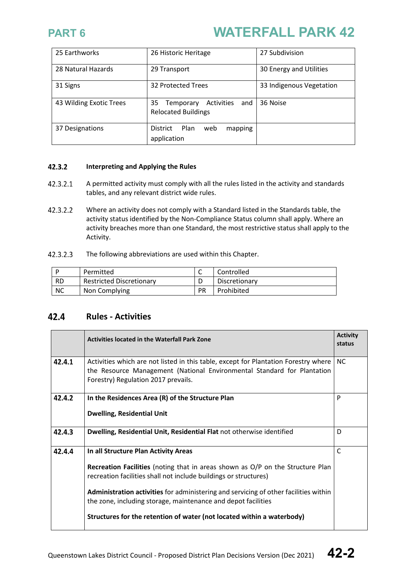| 25 Earthworks           | 26 Historic Heritage                                               | 27 Subdivision           |
|-------------------------|--------------------------------------------------------------------|--------------------------|
| 28 Natural Hazards      | 29 Transport                                                       | 30 Energy and Utilities  |
| 31 Signs                | 32 Protected Trees                                                 | 33 Indigenous Vegetation |
| 43 Wilding Exotic Trees | 35<br>Activities<br>and<br>Temporary<br><b>Relocated Buildings</b> | 36 Noise                 |
| 37 Designations         | District<br>Plan<br>mapping<br>web<br>application                  |                          |

### 42.3.2 **Interpreting and Applying the Rules**

- 42.3.2.1 A permitted activity must comply with all the rules listed in the activity and standards tables, and any relevant district wide rules.
- 42.3.2.2 Where an activity does not comply with a Standard listed in the Standards table, the activity status identified by the Non-Compliance Status column shall apply. Where an activity breaches more than one Standard, the most restrictive status shall apply to the Activity.
- 42.3.2.3 The following abbreviations are used within this Chapter.

|           | Permitted                       | ∽  | Controlled    |
|-----------|---------------------------------|----|---------------|
| <b>RD</b> | <b>Restricted Discretionary</b> |    | Discretionary |
| <b>NC</b> | Non Complying                   | PR | Prohibited    |

### $42.4$ **Rules - Activities**

|        | <b>Activities located in the Waterfall Park Zone</b>                                                                                                                                                                                                                                                                                                                                                                          |           |
|--------|-------------------------------------------------------------------------------------------------------------------------------------------------------------------------------------------------------------------------------------------------------------------------------------------------------------------------------------------------------------------------------------------------------------------------------|-----------|
| 42.4.1 | Activities which are not listed in this table, except for Plantation Forestry where<br>the Resource Management (National Environmental Standard for Plantation<br>Forestry) Regulation 2017 prevails.                                                                                                                                                                                                                         | <b>NC</b> |
| 42.4.2 | In the Residences Area (R) of the Structure Plan<br><b>Dwelling, Residential Unit</b>                                                                                                                                                                                                                                                                                                                                         | P         |
| 42.4.3 | Dwelling, Residential Unit, Residential Flat not otherwise identified                                                                                                                                                                                                                                                                                                                                                         | D         |
| 42.4.4 | In all Structure Plan Activity Areas<br>Recreation Facilities (noting that in areas shown as O/P on the Structure Plan<br>recreation facilities shall not include buildings or structures)<br>Administration activities for administering and servicing of other facilities within<br>the zone, including storage, maintenance and depot facilities<br>Structures for the retention of water (not located within a waterbody) | C         |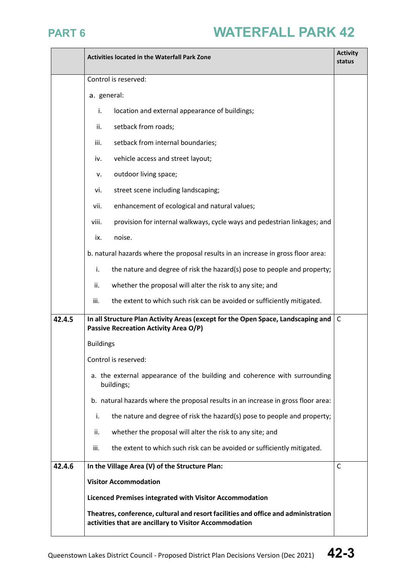

|        | <b>Activity</b><br><b>Activities located in the Waterfall Park Zone</b>                                                                      |              |  |
|--------|----------------------------------------------------------------------------------------------------------------------------------------------|--------------|--|
|        | Control is reserved:                                                                                                                         |              |  |
|        | a. general:                                                                                                                                  |              |  |
|        | i.<br>location and external appearance of buildings;                                                                                         |              |  |
|        | setback from roads;<br>ii.                                                                                                                   |              |  |
|        | setback from internal boundaries;<br>iii.                                                                                                    |              |  |
|        | vehicle access and street layout;<br>iv.                                                                                                     |              |  |
|        | outdoor living space;<br>ν.                                                                                                                  |              |  |
|        | street scene including landscaping;<br>vi.                                                                                                   |              |  |
|        | enhancement of ecological and natural values;<br>vii.                                                                                        |              |  |
|        | provision for internal walkways, cycle ways and pedestrian linkages; and<br>viii.                                                            |              |  |
|        | noise.<br>ix.                                                                                                                                |              |  |
|        | b. natural hazards where the proposal results in an increase in gross floor area:                                                            |              |  |
|        | the nature and degree of risk the hazard(s) pose to people and property;<br>i.                                                               |              |  |
|        | ii.<br>whether the proposal will alter the risk to any site; and                                                                             |              |  |
|        | iii.<br>the extent to which such risk can be avoided or sufficiently mitigated.                                                              |              |  |
| 42.4.5 | In all Structure Plan Activity Areas (except for the Open Space, Landscaping and<br><b>Passive Recreation Activity Area O/P)</b>             | C            |  |
|        | <b>Buildings</b>                                                                                                                             |              |  |
|        | Control is reserved:                                                                                                                         |              |  |
|        | a. the external appearance of the building and coherence with surrounding<br>buildings;                                                      |              |  |
|        | b. natural hazards where the proposal results in an increase in gross floor area:                                                            |              |  |
|        | the nature and degree of risk the hazard(s) pose to people and property;<br>i.                                                               |              |  |
|        | whether the proposal will alter the risk to any site; and<br>ii.                                                                             |              |  |
|        | the extent to which such risk can be avoided or sufficiently mitigated.<br>iii.                                                              |              |  |
| 42.4.6 | In the Village Area (V) of the Structure Plan:                                                                                               | $\mathsf{C}$ |  |
|        | <b>Visitor Accommodation</b>                                                                                                                 |              |  |
|        | Licenced Premises integrated with Visitor Accommodation                                                                                      |              |  |
|        | Theatres, conference, cultural and resort facilities and office and administration<br>activities that are ancillary to Visitor Accommodation |              |  |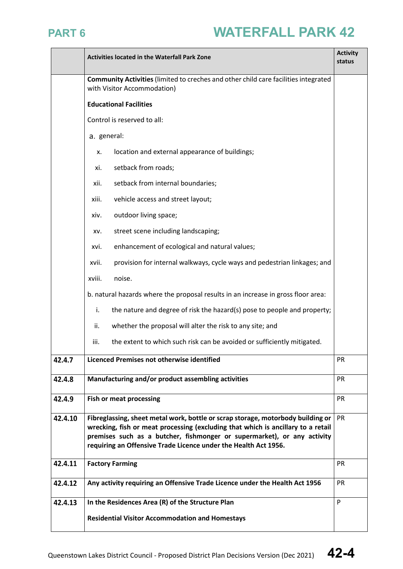|         | <b>Activities located in the Waterfall Park Zone</b>                                                                                                                                                                                                                                                                    |           |  |
|---------|-------------------------------------------------------------------------------------------------------------------------------------------------------------------------------------------------------------------------------------------------------------------------------------------------------------------------|-----------|--|
|         | <b>Community Activities</b> (limited to creches and other child care facilities integrated<br>with Visitor Accommodation)                                                                                                                                                                                               |           |  |
|         | <b>Educational Facilities</b>                                                                                                                                                                                                                                                                                           |           |  |
|         | Control is reserved to all:                                                                                                                                                                                                                                                                                             |           |  |
|         | a. general:                                                                                                                                                                                                                                                                                                             |           |  |
|         | location and external appearance of buildings;<br>х.                                                                                                                                                                                                                                                                    |           |  |
|         | setback from roads;<br>xi.                                                                                                                                                                                                                                                                                              |           |  |
|         | setback from internal boundaries;<br>xii.                                                                                                                                                                                                                                                                               |           |  |
|         | vehicle access and street layout;<br>xiii.                                                                                                                                                                                                                                                                              |           |  |
|         | outdoor living space;<br>xiv.                                                                                                                                                                                                                                                                                           |           |  |
|         | street scene including landscaping;<br>XV.                                                                                                                                                                                                                                                                              |           |  |
|         | enhancement of ecological and natural values;<br>xvi.                                                                                                                                                                                                                                                                   |           |  |
|         | provision for internal walkways, cycle ways and pedestrian linkages; and<br>xvii.                                                                                                                                                                                                                                       |           |  |
|         | noise.<br>xviii.                                                                                                                                                                                                                                                                                                        |           |  |
|         | b. natural hazards where the proposal results in an increase in gross floor area:                                                                                                                                                                                                                                       |           |  |
|         | i.<br>the nature and degree of risk the hazard(s) pose to people and property;                                                                                                                                                                                                                                          |           |  |
|         | whether the proposal will alter the risk to any site; and<br>ii.                                                                                                                                                                                                                                                        |           |  |
|         | iii.<br>the extent to which such risk can be avoided or sufficiently mitigated.                                                                                                                                                                                                                                         |           |  |
| 42.4.7  | Licenced Premises not otherwise identified<br><b>PR</b>                                                                                                                                                                                                                                                                 |           |  |
| 42.4.8  | Manufacturing and/or product assembling activities                                                                                                                                                                                                                                                                      |           |  |
| 42.4.9  | <b>Fish or meat processing</b>                                                                                                                                                                                                                                                                                          | <b>PR</b> |  |
| 42.4.10 | Fibreglassing, sheet metal work, bottle or scrap storage, motorbody building or<br>PR<br>wrecking, fish or meat processing (excluding that which is ancillary to a retail<br>premises such as a butcher, fishmonger or supermarket), or any activity<br>requiring an Offensive Trade Licence under the Health Act 1956. |           |  |
| 42.4.11 | PR<br><b>Factory Farming</b>                                                                                                                                                                                                                                                                                            |           |  |
| 42.4.12 | Any activity requiring an Offensive Trade Licence under the Health Act 1956                                                                                                                                                                                                                                             | PR        |  |
| 42.4.13 | In the Residences Area (R) of the Structure Plan                                                                                                                                                                                                                                                                        | P         |  |
|         | <b>Residential Visitor Accommodation and Homestays</b>                                                                                                                                                                                                                                                                  |           |  |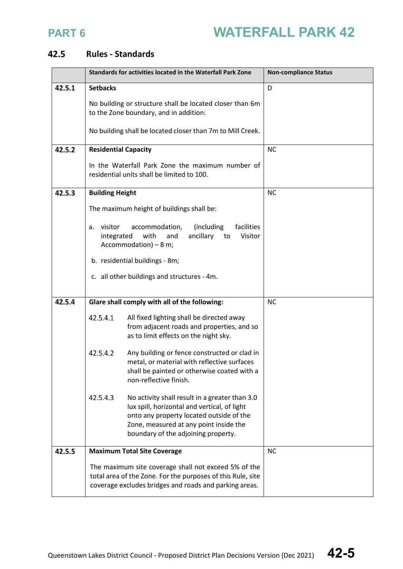### **Rules - Standards**

|        | Standards for activities located in the Waterfall Park Zone                                                                                                                                                                             | <b>Non-compliance Status</b> |
|--------|-----------------------------------------------------------------------------------------------------------------------------------------------------------------------------------------------------------------------------------------|------------------------------|
| 42.5.1 | <b>Setbacks</b>                                                                                                                                                                                                                         | D                            |
|        | No building or structure shall be located closer than 6m<br>to the Zone boundary, and in addition:                                                                                                                                      |                              |
|        | No building shall be located closer than 7m to Mill Creek.                                                                                                                                                                              |                              |
| 42.5.2 | <b>Residential Capacity</b>                                                                                                                                                                                                             | <b>NC</b>                    |
|        | In the Waterfall Park Zone the maximum number of<br>residential units shall be limited to 100.                                                                                                                                          |                              |
| 42.5.3 | <b>Building Height</b>                                                                                                                                                                                                                  | <b>NC</b>                    |
|        | The maximum height of buildings shall be:                                                                                                                                                                                               |                              |
|        | (including<br>facilities<br>a. visitor<br>accommodation,<br>with<br>integrated<br>ancillary<br>Visitor<br>and<br>to<br>Accommodation) $-8$ m;                                                                                           |                              |
|        | b. residential buildings - 8m;                                                                                                                                                                                                          |                              |
|        | c. all other buildings and structures - 4m.                                                                                                                                                                                             |                              |
|        |                                                                                                                                                                                                                                         |                              |
| 42.5.4 | Glare shall comply with all of the following:                                                                                                                                                                                           | <b>NC</b>                    |
|        | 42.5.4.1<br>All fixed lighting shall be directed away<br>from adjacent roads and properties, and so<br>as to limit effects on the night sky.                                                                                            |                              |
|        | 42.5.4.2<br>Any building or fence constructed or clad in<br>metal, or material with reflective surfaces<br>shall be painted or otherwise coated with a<br>non-reflective finish.                                                        |                              |
|        | 42.5.4.3<br>No activity shall result in a greater than 3.0<br>lux spill, horizontal and vertical, of light<br>onto any property located outside of the<br>Zone, measured at any point inside the<br>boundary of the adjoining property. |                              |
| 42.5.5 | <b>Maximum Total Site Coverage</b>                                                                                                                                                                                                      | <b>NC</b>                    |
|        | The maximum site coverage shall not exceed 5% of the<br>total area of the Zone. For the purposes of this Rule, site<br>coverage excludes bridges and roads and parking areas.                                                           |                              |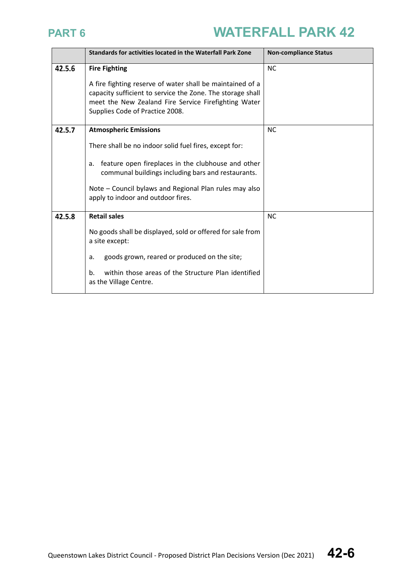|        | <b>Standards for activities located in the Waterfall Park Zone</b>                                                                                                                                                                                                                                       | <b>Non-compliance Status</b> |
|--------|----------------------------------------------------------------------------------------------------------------------------------------------------------------------------------------------------------------------------------------------------------------------------------------------------------|------------------------------|
| 42.5.6 | <b>Fire Fighting</b><br>A fire fighting reserve of water shall be maintained of a<br>capacity sufficient to service the Zone. The storage shall<br>meet the New Zealand Fire Service Firefighting Water<br>Supplies Code of Practice 2008.                                                               | <b>NC</b>                    |
| 42.5.7 | <b>Atmospheric Emissions</b><br>There shall be no indoor solid fuel fires, except for:<br>feature open fireplaces in the clubhouse and other<br>a.<br>communal buildings including bars and restaurants.<br>Note – Council bylaws and Regional Plan rules may also<br>apply to indoor and outdoor fires. | <b>NC</b>                    |
| 42.5.8 | <b>Retail sales</b><br>No goods shall be displayed, sold or offered for sale from<br>a site except:<br>goods grown, reared or produced on the site;<br>a.<br>within those areas of the Structure Plan identified<br>b.<br>as the Village Centre.                                                         | <b>NC</b>                    |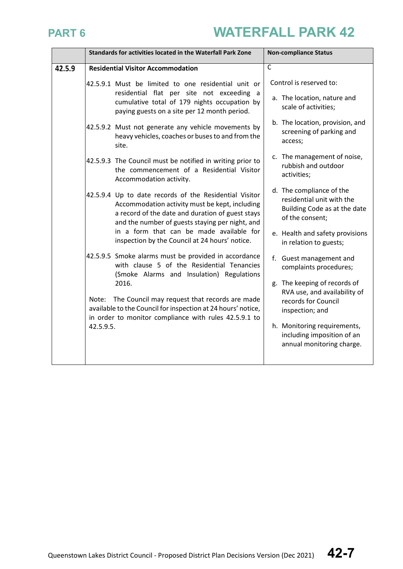|        | Standards for activities located in the Waterfall Park Zone                                                                                                                                                     |                                                                                                                                                 | <b>Non-compliance Status</b>                                                           |  |
|--------|-----------------------------------------------------------------------------------------------------------------------------------------------------------------------------------------------------------------|-------------------------------------------------------------------------------------------------------------------------------------------------|----------------------------------------------------------------------------------------|--|
| 42.5.9 |                                                                                                                                                                                                                 | <b>Residential Visitor Accommodation</b>                                                                                                        | $\overline{C}$                                                                         |  |
|        |                                                                                                                                                                                                                 | 42.5.9.1 Must be limited to one residential unit or                                                                                             | Control is reserved to:                                                                |  |
|        |                                                                                                                                                                                                                 | residential flat per site not exceeding a<br>cumulative total of 179 nights occupation by<br>paying guests on a site per 12 month period.       | a. The location, nature and<br>scale of activities;                                    |  |
|        |                                                                                                                                                                                                                 | 42.5.9.2 Must not generate any vehicle movements by<br>heavy vehicles, coaches or buses to and from the<br>site.                                | b. The location, provision, and<br>screening of parking and<br>access;                 |  |
|        |                                                                                                                                                                                                                 | 42.5.9.3 The Council must be notified in writing prior to<br>the commencement of a Residential Visitor<br>Accommodation activity.               | c. The management of noise,<br>rubbish and outdoor<br>activities;                      |  |
|        | 42.5.9.4 Up to date records of the Residential Visitor<br>Accommodation activity must be kept, including<br>a record of the date and duration of guest stays<br>and the number of guests staying per night, and | d. The compliance of the<br>residential unit with the<br>Building Code as at the date<br>of the consent;                                        |                                                                                        |  |
|        |                                                                                                                                                                                                                 | in a form that can be made available for<br>inspection by the Council at 24 hours' notice.                                                      | e. Health and safety provisions<br>in relation to guests;                              |  |
|        |                                                                                                                                                                                                                 | 42.5.9.5 Smoke alarms must be provided in accordance<br>with clause 5 of the Residential Tenancies<br>(Smoke Alarms and Insulation) Regulations | f. Guest management and<br>complaints procedures;                                      |  |
|        | 2016.<br>Note: The Council may request that records are made<br>available to the Council for inspection at 24 hours' notice,<br>in order to monitor compliance with rules 42.5.9.1 to                           | g. The keeping of records of<br>RVA use, and availability of<br>records for Council<br>inspection; and                                          |                                                                                        |  |
|        | 42.5.9.5.                                                                                                                                                                                                       |                                                                                                                                                 | h. Monitoring requirements,<br>including imposition of an<br>annual monitoring charge. |  |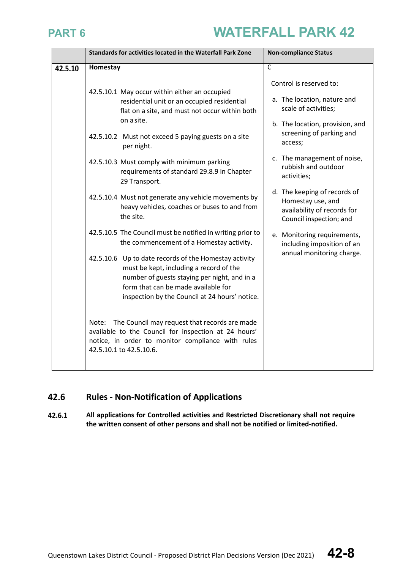|         | Standards for activities located in the Waterfall Park Zone                                                                                                                                                                               | <b>Non-compliance Status</b>                                                                                      |  |
|---------|-------------------------------------------------------------------------------------------------------------------------------------------------------------------------------------------------------------------------------------------|-------------------------------------------------------------------------------------------------------------------|--|
| 42.5.10 | Homestay                                                                                                                                                                                                                                  | $\overline{\mathsf{C}}$                                                                                           |  |
|         | 42.5.10.1 May occur within either an occupied<br>residential unit or an occupied residential<br>flat on a site, and must not occur within both<br>on a site.                                                                              | Control is reserved to:<br>a. The location, nature and<br>scale of activities;<br>b. The location, provision, and |  |
|         | 42.5.10.2 Must not exceed 5 paying guests on a site<br>per night.                                                                                                                                                                         | screening of parking and<br>access;                                                                               |  |
|         | 42.5.10.3 Must comply with minimum parking<br>requirements of standard 29.8.9 in Chapter<br>29 Transport.                                                                                                                                 | c. The management of noise,<br>rubbish and outdoor<br>activities;                                                 |  |
|         | 42.5.10.4 Must not generate any vehicle movements by<br>heavy vehicles, coaches or buses to and from<br>the site.                                                                                                                         | d. The keeping of records of<br>Homestay use, and<br>availability of records for<br>Council inspection; and       |  |
|         | 42.5.10.5 The Council must be notified in writing prior to<br>the commencement of a Homestay activity.                                                                                                                                    | e. Monitoring requirements,<br>including imposition of an                                                         |  |
|         | 42.5.10.6 Up to date records of the Homestay activity<br>must be kept, including a record of the<br>number of guests staying per night, and in a<br>form that can be made available for<br>inspection by the Council at 24 hours' notice. | annual monitoring charge.                                                                                         |  |
|         | The Council may request that records are made<br>Note:<br>available to the Council for inspection at 24 hours'<br>notice, in order to monitor compliance with rules<br>42.5.10.1 to 42.5.10.6.                                            |                                                                                                                   |  |

### 42.6 **Rules - Non-Notification of Applications**

**All applications for Controlled activities and Restricted Discretionary shall not require**  42.6.1 **the written consent of other persons and shall not be notified or limited-notified.**